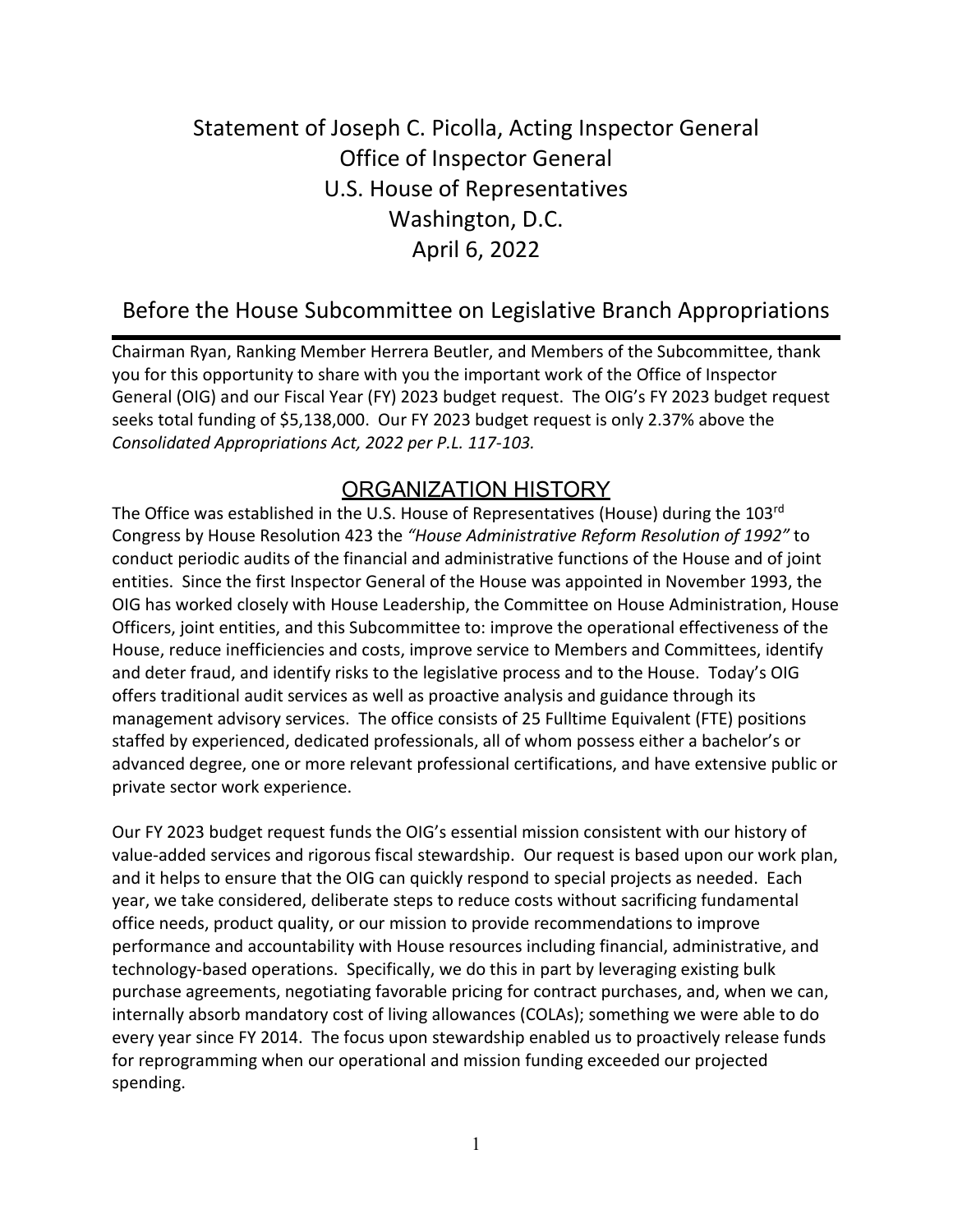# Statement of Joseph C. Picolla, Acting Inspector General Office of Inspector General U.S. House of Representatives Washington, D.C. April 6, 2022

## Before the House Subcommittee on Legislative Branch Appropriations

Chairman Ryan, Ranking Member Herrera Beutler, and Members of the Subcommittee, thank you for this opportunity to share with you the important work of the Office of Inspector General (OIG) and our Fiscal Year (FY) 2023 budget request. The OIG's FY 2023 budget request seeks total funding of \$5,138,000. Our FY 2023 budget request is only 2.37% above the *Consolidated Appropriations Act, 2022 per P.L. 117-103.*

### ORGANIZATION HISTORY

The Office was established in the U.S. House of Representatives (House) during the 103rd Congress by House Resolution 423 the *"House Administrative Reform Resolution of 1992"* to conduct periodic audits of the financial and administrative functions of the House and of joint entities. Since the first Inspector General of the House was appointed in November 1993, the OIG has worked closely with House Leadership, the Committee on House Administration, House Officers, joint entities, and this Subcommittee to: improve the operational effectiveness of the House, reduce inefficiencies and costs, improve service to Members and Committees, identify and deter fraud, and identify risks to the legislative process and to the House. Today's OIG offers traditional audit services as well as proactive analysis and guidance through its management advisory services. The office consists of 25 Fulltime Equivalent (FTE) positions staffed by experienced, dedicated professionals, all of whom possess either a bachelor's or advanced degree, one or more relevant professional certifications, and have extensive public or private sector work experience.

Our FY 2023 budget request funds the OIG's essential mission consistent with our history of value-added services and rigorous fiscal stewardship. Our request is based upon our work plan, and it helps to ensure that the OIG can quickly respond to special projects as needed. Each year, we take considered, deliberate steps to reduce costs without sacrificing fundamental office needs, product quality, or our mission to provide recommendations to improve performance and accountability with House resources including financial, administrative, and technology-based operations. Specifically, we do this in part by leveraging existing bulk purchase agreements, negotiating favorable pricing for contract purchases, and, when we can, internally absorb mandatory cost of living allowances (COLAs); something we were able to do every year since FY 2014. The focus upon stewardship enabled us to proactively release funds for reprogramming when our operational and mission funding exceeded our projected spending.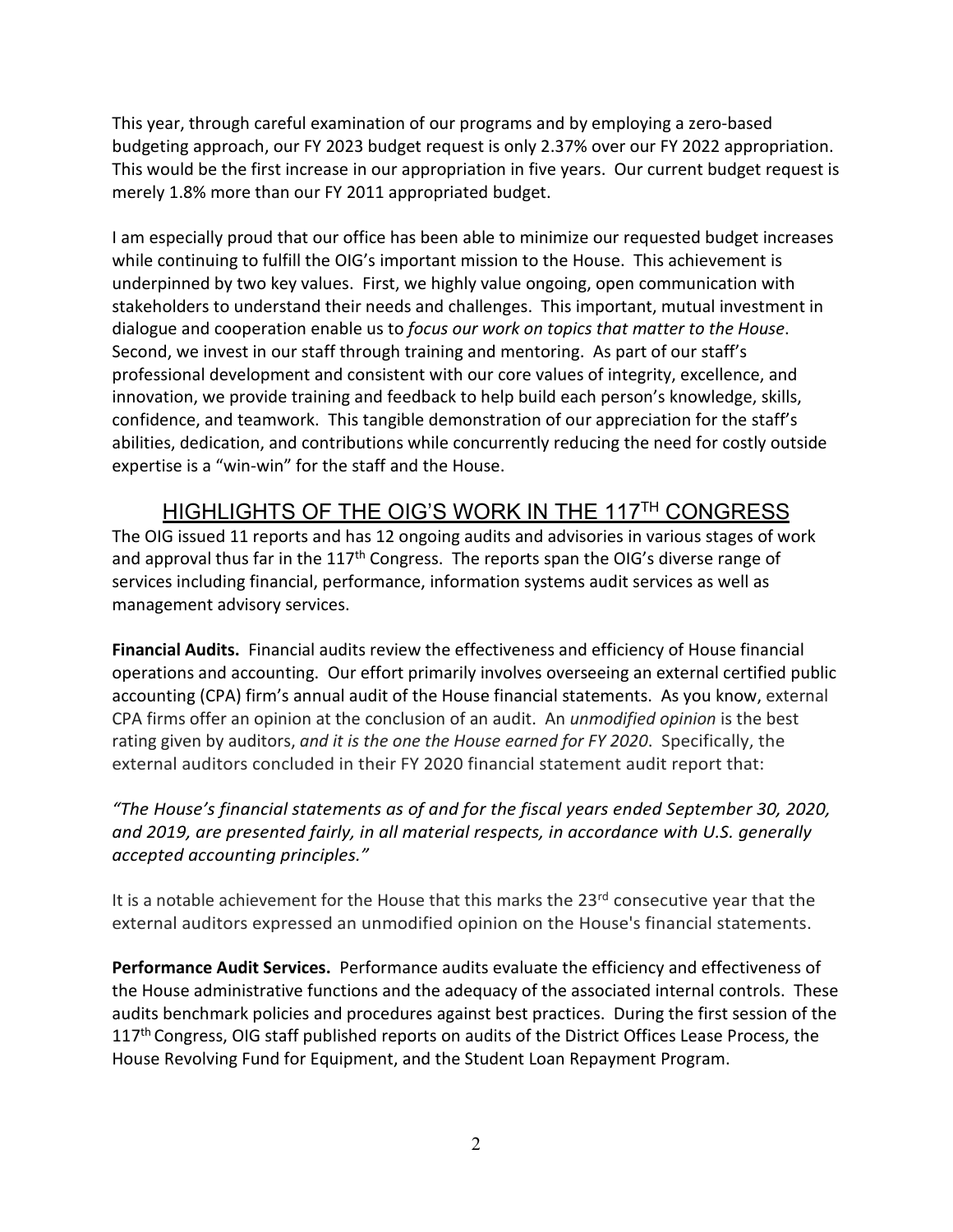This year, through careful examination of our programs and by employing a zero-based budgeting approach, our FY 2023 budget request is only 2.37% over our FY 2022 appropriation. This would be the first increase in our appropriation in five years. Our current budget request is merely 1.8% more than our FY 2011 appropriated budget.

I am especially proud that our office has been able to minimize our requested budget increases while continuing to fulfill the OIG's important mission to the House. This achievement is underpinned by two key values. First, we highly value ongoing, open communication with stakeholders to understand their needs and challenges. This important, mutual investment in dialogue and cooperation enable us to *focus our work on topics that matter to the House*. Second, we invest in our staff through training and mentoring. As part of our staff's professional development and consistent with our core values of integrity, excellence, and innovation, we provide training and feedback to help build each person's knowledge, skills, confidence, and teamwork. This tangible demonstration of our appreciation for the staff's abilities, dedication, and contributions while concurrently reducing the need for costly outside expertise is a "win-win" for the staff and the House.

### HIGHLIGHTS OF THE OIG'S WORK IN THE 117TH CONGRESS

The OIG issued 11 reports and has 12 ongoing audits and advisories in various stages of work and approval thus far in the 117<sup>th</sup> Congress. The reports span the OIG's diverse range of services including financial, performance, information systems audit services as well as management advisory services.

**Financial Audits.** Financial audits review the effectiveness and efficiency of House financial operations and accounting. Our effort primarily involves overseeing an external certified public accounting (CPA) firm's annual audit of the House financial statements. As you know, external CPA firms offer an opinion at the conclusion of an audit. An *unmodified opinion* is the best rating given by auditors, *and it is the one the House earned for FY 2020*. Specifically, the external auditors concluded in their FY 2020 financial statement audit report that:

#### *"The House's financial statements as of and for the fiscal years ended September 30, 2020, and 2019, are presented fairly, in all material respects, in accordance with U.S. generally accepted accounting principles."*

It is a notable achievement for the House that this marks the 23<sup>rd</sup> consecutive year that the external auditors expressed an unmodified opinion on the House's financial statements.

**Performance Audit Services.** Performance audits evaluate the efficiency and effectiveness of the House administrative functions and the adequacy of the associated internal controls. These audits benchmark policies and procedures against best practices. During the first session of the 117<sup>th</sup> Congress, OIG staff published reports on audits of the District Offices Lease Process, the House Revolving Fund for Equipment, and the Student Loan Repayment Program.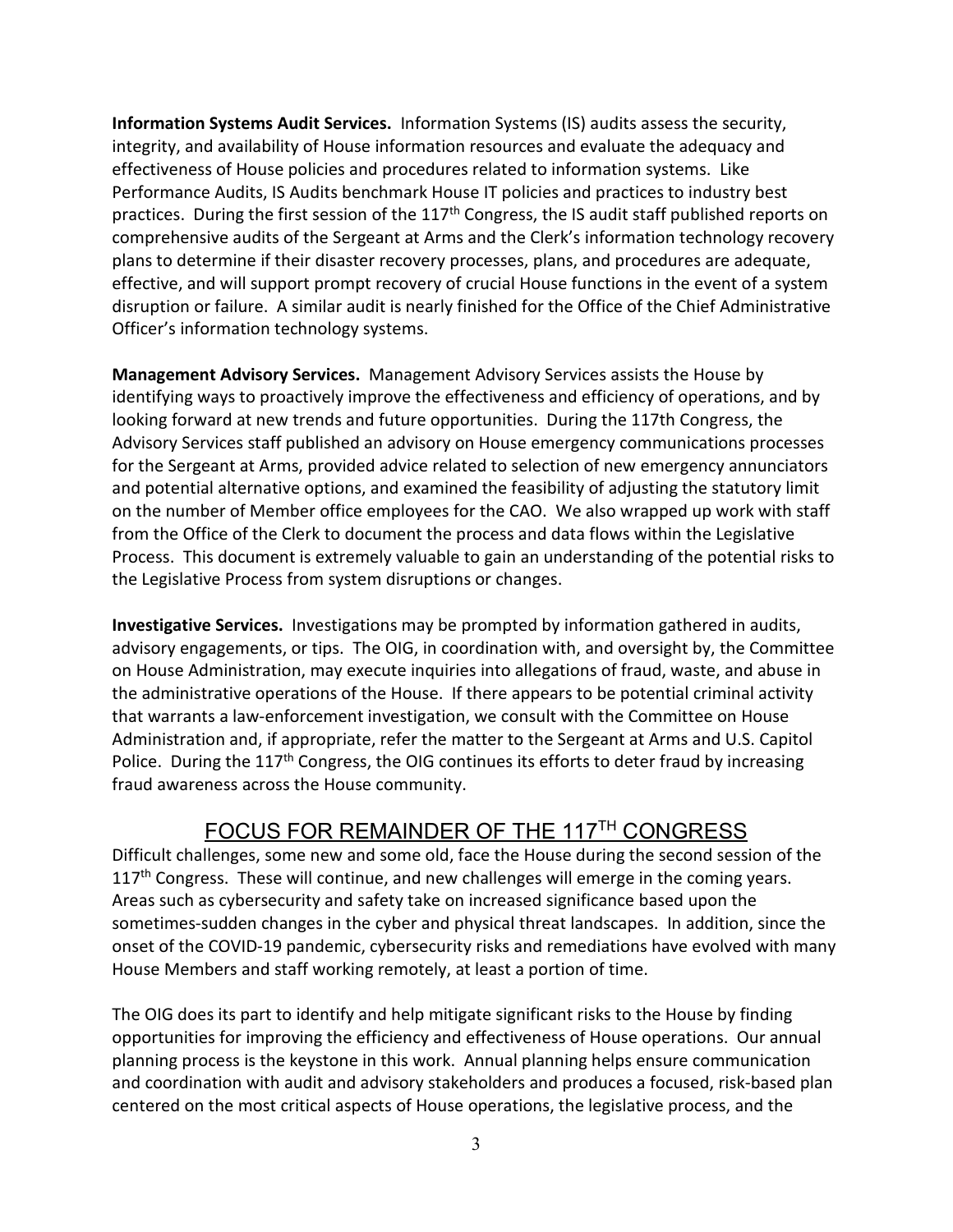**Information Systems Audit Services.** Information Systems (IS) audits assess the security, integrity, and availability of House information resources and evaluate the adequacy and effectiveness of House policies and procedures related to information systems. Like Performance Audits, IS Audits benchmark House IT policies and practices to industry best practices. During the first session of the 117<sup>th</sup> Congress, the IS audit staff published reports on comprehensive audits of the Sergeant at Arms and the Clerk's information technology recovery plans to determine if their disaster recovery processes, plans, and procedures are adequate, effective, and will support prompt recovery of crucial House functions in the event of a system disruption or failure. A similar audit is nearly finished for the Office of the Chief Administrative Officer's information technology systems.

**Management Advisory Services.** Management Advisory Services assists the House by identifying ways to proactively improve the effectiveness and efficiency of operations, and by looking forward at new trends and future opportunities. During the 117th Congress, the Advisory Services staff published an advisory on House emergency communications processes for the Sergeant at Arms, provided advice related to selection of new emergency annunciators and potential alternative options, and examined the feasibility of adjusting the statutory limit on the number of Member office employees for the CAO. We also wrapped up work with staff from the Office of the Clerk to document the process and data flows within the Legislative Process. This document is extremely valuable to gain an understanding of the potential risks to the Legislative Process from system disruptions or changes.

**Investigative Services.** Investigations may be prompted by information gathered in audits, advisory engagements, or tips. The OIG, in coordination with, and oversight by, the Committee on House Administration, may execute inquiries into allegations of fraud, waste, and abuse in the administrative operations of the House. If there appears to be potential criminal activity that warrants a law-enforcement investigation, we consult with the Committee on House Administration and, if appropriate, refer the matter to the Sergeant at Arms and U.S. Capitol Police. During the  $117<sup>th</sup>$  Congress, the OIG continues its efforts to deter fraud by increasing fraud awareness across the House community.

### FOCUS FOR REMAINDER OF THE 117TH CONGRESS

Difficult challenges, some new and some old, face the House during the second session of the  $117<sup>th</sup>$  Congress. These will continue, and new challenges will emerge in the coming years. Areas such as cybersecurity and safety take on increased significance based upon the sometimes-sudden changes in the cyber and physical threat landscapes. In addition, since the onset of the COVID-19 pandemic, cybersecurity risks and remediations have evolved with many House Members and staff working remotely, at least a portion of time.

The OIG does its part to identify and help mitigate significant risks to the House by finding opportunities for improving the efficiency and effectiveness of House operations. Our annual planning process is the keystone in this work. Annual planning helps ensure communication and coordination with audit and advisory stakeholders and produces a focused, risk-based plan centered on the most critical aspects of House operations, the legislative process, and the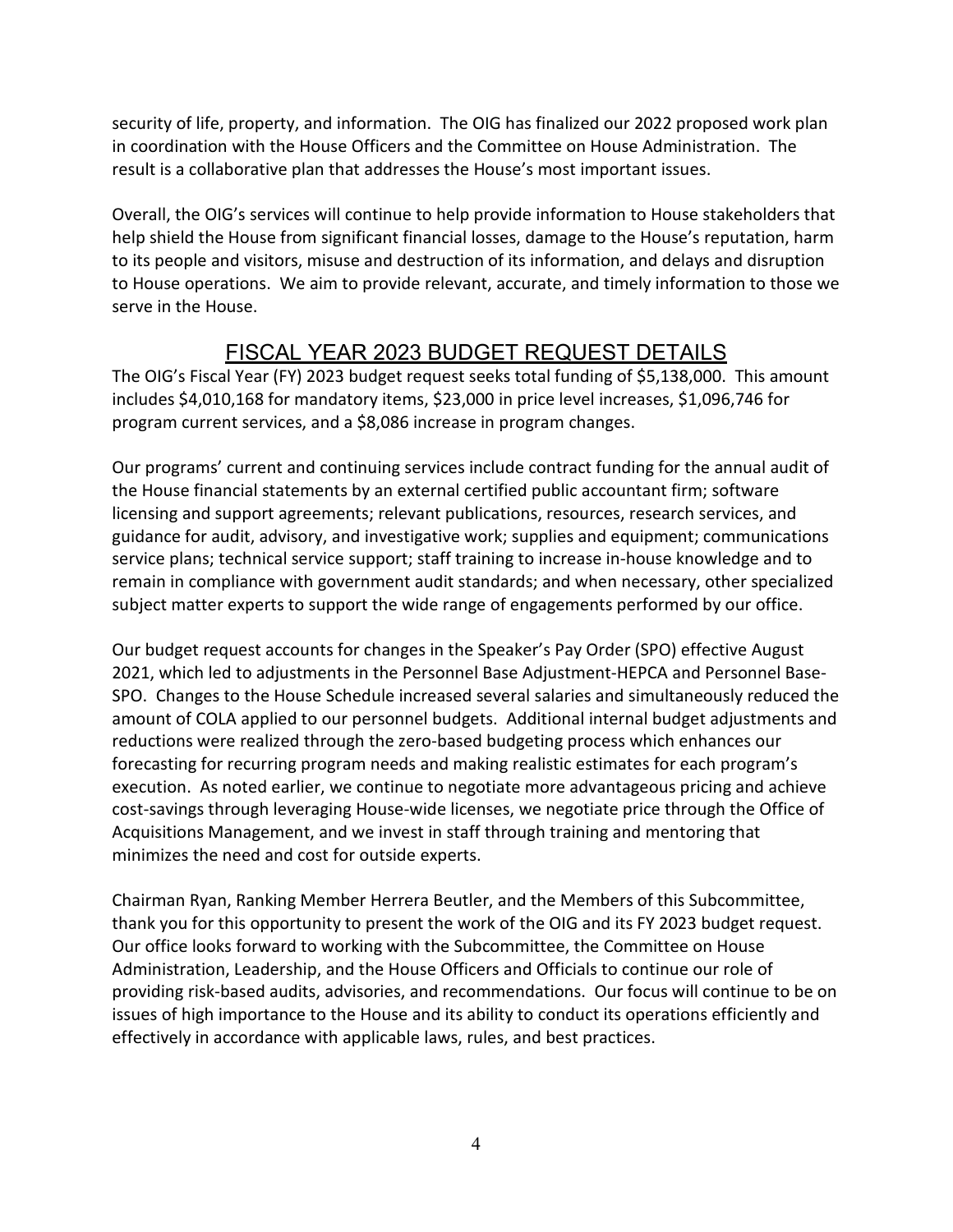security of life, property, and information. The OIG has finalized our 2022 proposed work plan in coordination with the House Officers and the Committee on House Administration. The result is a collaborative plan that addresses the House's most important issues.

Overall, the OIG's services will continue to help provide information to House stakeholders that help shield the House from significant financial losses, damage to the House's reputation, harm to its people and visitors, misuse and destruction of its information, and delays and disruption to House operations. We aim to provide relevant, accurate, and timely information to those we serve in the House.

## FISCAL YEAR 2023 BUDGET REQUEST DETAILS

The OIG's Fiscal Year (FY) 2023 budget request seeks total funding of \$5,138,000. This amount includes \$4,010,168 for mandatory items, \$23,000 in price level increases, \$1,096,746 for program current services, and a \$8,086 increase in program changes.

Our programs' current and continuing services include contract funding for the annual audit of the House financial statements by an external certified public accountant firm; software licensing and support agreements; relevant publications, resources, research services, and guidance for audit, advisory, and investigative work; supplies and equipment; communications service plans; technical service support; staff training to increase in-house knowledge and to remain in compliance with government audit standards; and when necessary, other specialized subject matter experts to support the wide range of engagements performed by our office.

Our budget request accounts for changes in the Speaker's Pay Order (SPO) effective August 2021, which led to adjustments in the Personnel Base Adjustment-HEPCA and Personnel Base-SPO. Changes to the House Schedule increased several salaries and simultaneously reduced the amount of COLA applied to our personnel budgets. Additional internal budget adjustments and reductions were realized through the zero-based budgeting process which enhances our forecasting for recurring program needs and making realistic estimates for each program's execution. As noted earlier, we continue to negotiate more advantageous pricing and achieve cost-savings through leveraging House-wide licenses, we negotiate price through the Office of Acquisitions Management, and we invest in staff through training and mentoring that minimizes the need and cost for outside experts.

Chairman Ryan, Ranking Member Herrera Beutler, and the Members of this Subcommittee, thank you for this opportunity to present the work of the OIG and its FY 2023 budget request. Our office looks forward to working with the Subcommittee, the Committee on House Administration, Leadership, and the House Officers and Officials to continue our role of providing risk-based audits, advisories, and recommendations. Our focus will continue to be on issues of high importance to the House and its ability to conduct its operations efficiently and effectively in accordance with applicable laws, rules, and best practices.